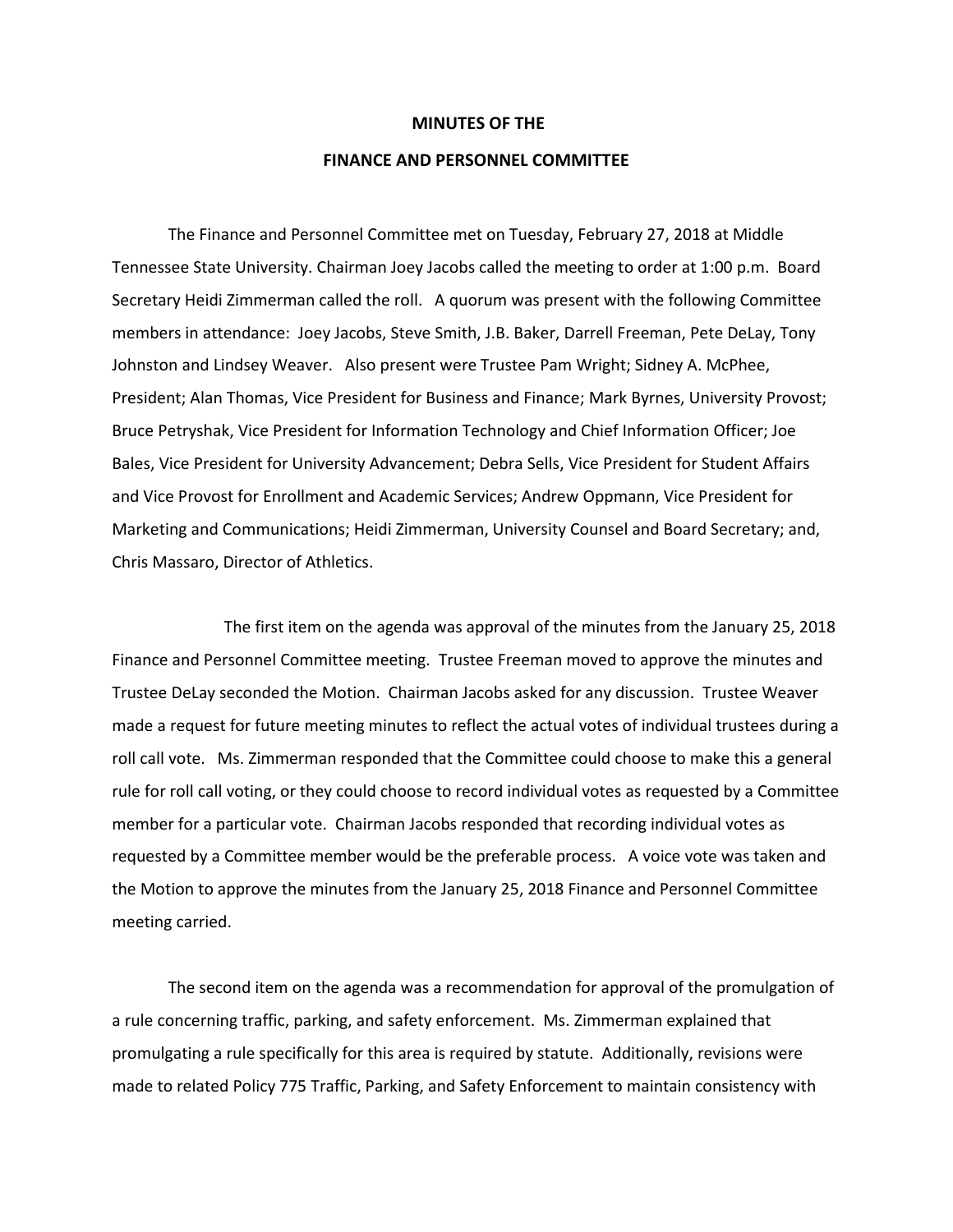## **MINUTES OF THE**

## **FINANCE AND PERSONNEL COMMITTEE**

The Finance and Personnel Committee met on Tuesday, February 27, 2018 at Middle Tennessee State University. Chairman Joey Jacobs called the meeting to order at 1:00 p.m. Board Secretary Heidi Zimmerman called the roll. A quorum was present with the following Committee members in attendance: Joey Jacobs, Steve Smith, J.B. Baker, Darrell Freeman, Pete DeLay, Tony Johnston and Lindsey Weaver. Also present were Trustee Pam Wright; Sidney A. McPhee, President; Alan Thomas, Vice President for Business and Finance; Mark Byrnes, University Provost; Bruce Petryshak, Vice President for Information Technology and Chief Information Officer; Joe Bales, Vice President for University Advancement; Debra Sells, Vice President for Student Affairs and Vice Provost for Enrollment and Academic Services; Andrew Oppmann, Vice President for Marketing and Communications; Heidi Zimmerman, University Counsel and Board Secretary; and, Chris Massaro, Director of Athletics.

 The first item on the agenda was approval of the minutes from the January 25, 2018 Finance and Personnel Committee meeting. Trustee Freeman moved to approve the minutes and Trustee DeLay seconded the Motion. Chairman Jacobs asked for any discussion. Trustee Weaver made a request for future meeting minutes to reflect the actual votes of individual trustees during a roll call vote. Ms. Zimmerman responded that the Committee could choose to make this a general rule for roll call voting, or they could choose to record individual votes as requested by a Committee member for a particular vote. Chairman Jacobs responded that recording individual votes as requested by a Committee member would be the preferable process. A voice vote was taken and the Motion to approve the minutes from the January 25, 2018 Finance and Personnel Committee meeting carried.

The second item on the agenda was a recommendation for approval of the promulgation of a rule concerning traffic, parking, and safety enforcement. Ms. Zimmerman explained that promulgating a rule specifically for this area is required by statute. Additionally, revisions were made to related Policy 775 Traffic, Parking, and Safety Enforcement to maintain consistency with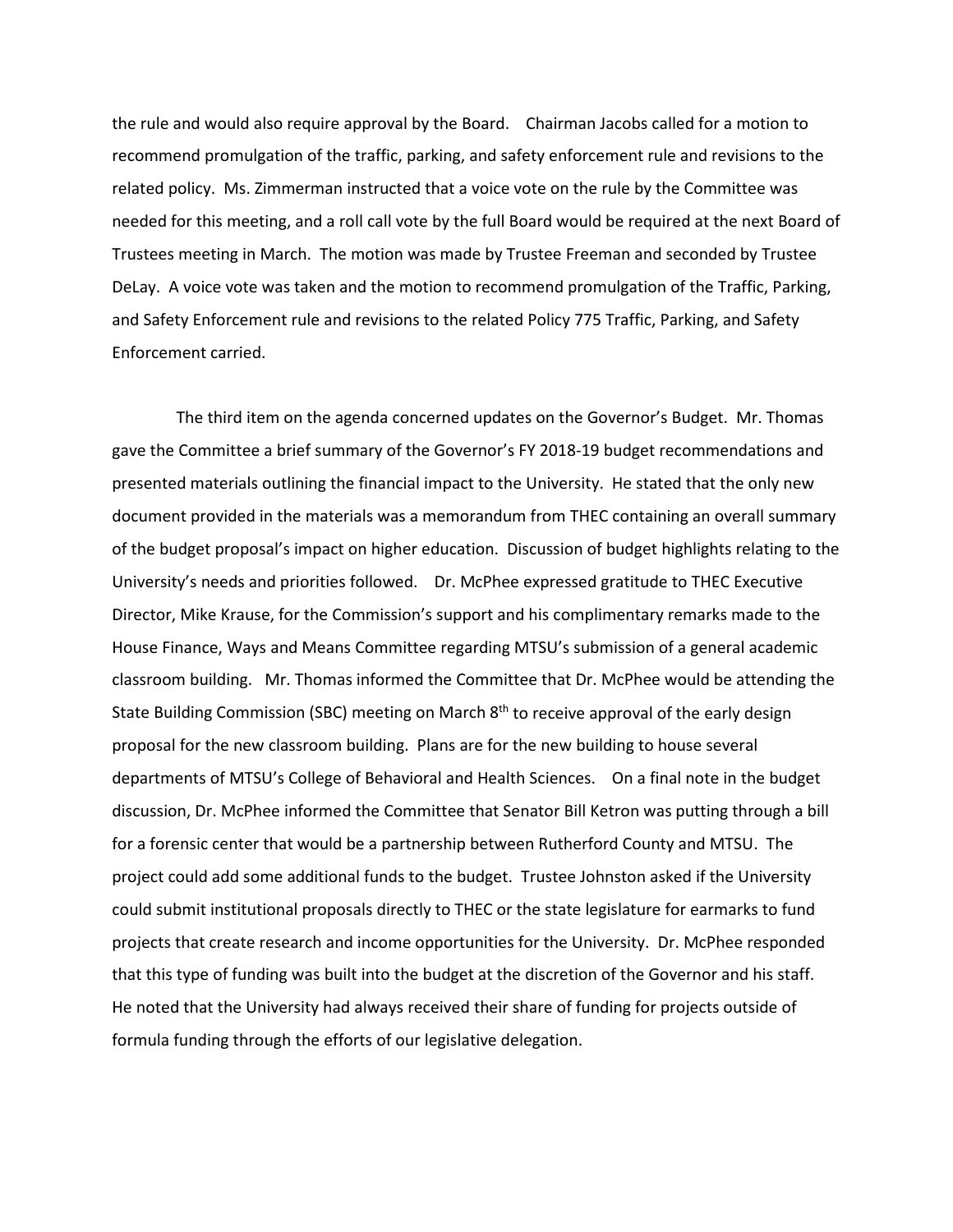the rule and would also require approval by the Board. Chairman Jacobs called for a motion to recommend promulgation of the traffic, parking, and safety enforcement rule and revisions to the related policy. Ms. Zimmerman instructed that a voice vote on the rule by the Committee was needed for this meeting, and a roll call vote by the full Board would be required at the next Board of Trustees meeting in March. The motion was made by Trustee Freeman and seconded by Trustee DeLay. A voice vote was taken and the motion to recommend promulgation of the Traffic, Parking, and Safety Enforcement rule and revisions to the related Policy 775 Traffic, Parking, and Safety Enforcement carried.

 The third item on the agenda concerned updates on the Governor's Budget. Mr. Thomas gave the Committee a brief summary of the Governor's FY 2018-19 budget recommendations and presented materials outlining the financial impact to the University. He stated that the only new document provided in the materials was a memorandum from THEC containing an overall summary of the budget proposal's impact on higher education. Discussion of budget highlights relating to the University's needs and priorities followed. Dr. McPhee expressed gratitude to THEC Executive Director, Mike Krause, for the Commission's support and his complimentary remarks made to the House Finance, Ways and Means Committee regarding MTSU's submission of a general academic classroom building. Mr. Thomas informed the Committee that Dr. McPhee would be attending the State Building Commission (SBC) meeting on March 8<sup>th</sup> to receive approval of the early design proposal for the new classroom building. Plans are for the new building to house several departments of MTSU's College of Behavioral and Health Sciences. On a final note in the budget discussion, Dr. McPhee informed the Committee that Senator Bill Ketron was putting through a bill for a forensic center that would be a partnership between Rutherford County and MTSU. The project could add some additional funds to the budget. Trustee Johnston asked if the University could submit institutional proposals directly to THEC or the state legislature for earmarks to fund projects that create research and income opportunities for the University. Dr. McPhee responded that this type of funding was built into the budget at the discretion of the Governor and his staff. He noted that the University had always received their share of funding for projects outside of formula funding through the efforts of our legislative delegation.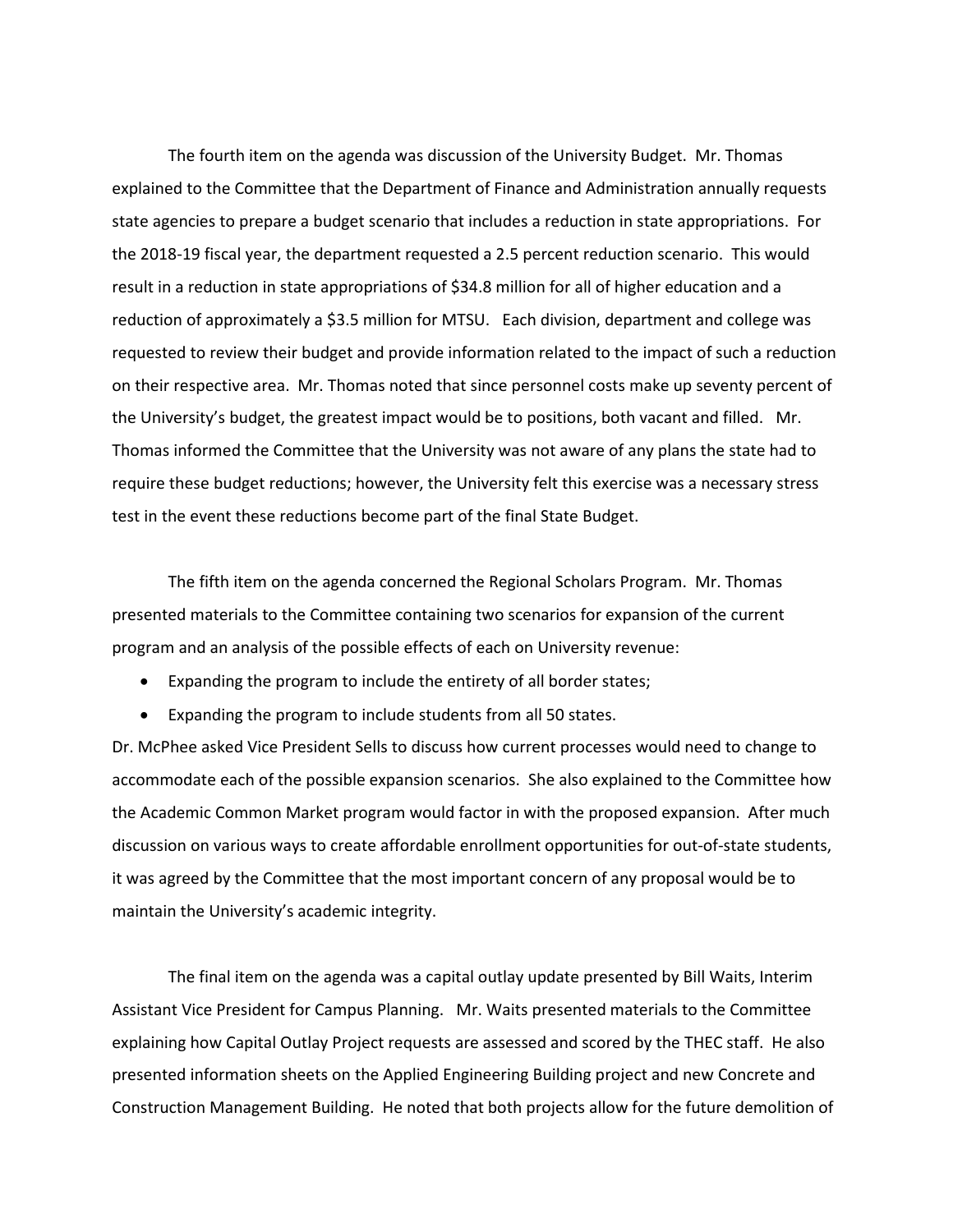The fourth item on the agenda was discussion of the University Budget. Mr. Thomas explained to the Committee that the Department of Finance and Administration annually requests state agencies to prepare a budget scenario that includes a reduction in state appropriations. For the 2018-19 fiscal year, the department requested a 2.5 percent reduction scenario. This would result in a reduction in state appropriations of \$34.8 million for all of higher education and a reduction of approximately a \$3.5 million for MTSU. Each division, department and college was requested to review their budget and provide information related to the impact of such a reduction on their respective area. Mr. Thomas noted that since personnel costs make up seventy percent of the University's budget, the greatest impact would be to positions, both vacant and filled. Mr. Thomas informed the Committee that the University was not aware of any plans the state had to require these budget reductions; however, the University felt this exercise was a necessary stress test in the event these reductions become part of the final State Budget.

The fifth item on the agenda concerned the Regional Scholars Program. Mr. Thomas presented materials to the Committee containing two scenarios for expansion of the current program and an analysis of the possible effects of each on University revenue:

- Expanding the program to include the entirety of all border states;
- Expanding the program to include students from all 50 states.

Dr. McPhee asked Vice President Sells to discuss how current processes would need to change to accommodate each of the possible expansion scenarios. She also explained to the Committee how the Academic Common Market program would factor in with the proposed expansion. After much discussion on various ways to create affordable enrollment opportunities for out-of-state students, it was agreed by the Committee that the most important concern of any proposal would be to maintain the University's academic integrity.

The final item on the agenda was a capital outlay update presented by Bill Waits, Interim Assistant Vice President for Campus Planning. Mr. Waits presented materials to the Committee explaining how Capital Outlay Project requests are assessed and scored by the THEC staff. He also presented information sheets on the Applied Engineering Building project and new Concrete and Construction Management Building. He noted that both projects allow for the future demolition of